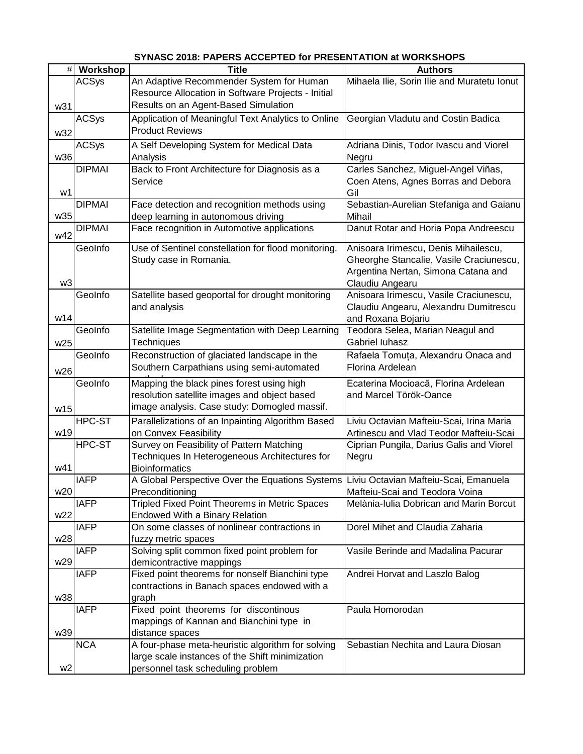|                 | # Workshop    | <b>Title</b>                                                                          | <b>Authors</b>                              |
|-----------------|---------------|---------------------------------------------------------------------------------------|---------------------------------------------|
|                 | <b>ACSys</b>  | An Adaptive Recommender System for Human                                              | Mihaela Ilie, Sorin Ilie and Muratetu Ionut |
|                 |               | Resource Allocation in Software Projects - Initial                                    |                                             |
| w31             |               | Results on an Agent-Based Simulation                                                  |                                             |
|                 | <b>ACSys</b>  | Application of Meaningful Text Analytics to Online                                    | Georgian Vladutu and Costin Badica          |
|                 |               | <b>Product Reviews</b>                                                                |                                             |
| w32             |               |                                                                                       |                                             |
|                 | <b>ACSys</b>  | A Self Developing System for Medical Data                                             | Adriana Dinis, Todor Ivascu and Viorel      |
| w36             |               | Analysis                                                                              | Negru                                       |
|                 | <b>DIPMAI</b> | Back to Front Architecture for Diagnosis as a                                         | Carles Sanchez, Miguel-Angel Viñas,         |
|                 |               | Service                                                                               | Coen Atens, Agnes Borras and Debora         |
| w1              |               |                                                                                       | Gil                                         |
|                 | <b>DIPMAI</b> | Face detection and recognition methods using                                          | Sebastian-Aurelian Stefaniga and Gaianu     |
| w35             |               | deep learning in autonomous driving                                                   | Mihail                                      |
|                 | <b>DIPMAI</b> | Face recognition in Automotive applications                                           | Danut Rotar and Horia Popa Andreescu        |
| w42             |               |                                                                                       |                                             |
|                 | GeoInfo       | Use of Sentinel constellation for flood monitoring.                                   | Anisoara Irimescu, Denis Mihailescu,        |
|                 |               | Study case in Romania.                                                                | Gheorghe Stancalie, Vasile Craciunescu,     |
|                 |               |                                                                                       | Argentina Nertan, Simona Catana and         |
| w3              |               |                                                                                       | Claudiu Angearu                             |
|                 | GeoInfo       | Satellite based geoportal for drought monitoring                                      | Anisoara Irimescu, Vasile Craciunescu,      |
|                 |               | and analysis                                                                          | Claudiu Angearu, Alexandru Dumitrescu       |
| w14             |               |                                                                                       | and Roxana Bojariu                          |
|                 | GeoInfo       | Satellite Image Segmentation with Deep Learning                                       |                                             |
|                 |               |                                                                                       | Teodora Selea, Marian Neagul and            |
| w25             |               | Techniques                                                                            | Gabriel luhasz                              |
|                 | GeoInfo       | Reconstruction of glaciated landscape in the                                          | Rafaela Tomuța, Alexandru Onaca and         |
| w26             |               | Southern Carpathians using semi-automated                                             | Florina Ardelean                            |
|                 | GeoInfo       | Mapping the black pines forest using high                                             | Ecaterina Mocioacă, Florina Ardelean        |
|                 |               | resolution satellite images and object based                                          | and Marcel Török-Oance                      |
|                 |               | image analysis. Case study: Domogled massif.                                          |                                             |
| w15             |               |                                                                                       |                                             |
|                 | HPC-ST        | Parallelizations of an Inpainting Algorithm Based                                     | Liviu Octavian Mafteiu-Scai, Irina Maria    |
| w19             |               | on Convex Feasibility                                                                 | Artinescu and Vlad Teodor Mafteiu-Scai      |
|                 | HPC-ST        | Survey on Feasibility of Pattern Matching                                             | Ciprian Pungila, Darius Galis and Viorel    |
|                 |               | Techniques In Heterogeneous Architectures for                                         | Negru                                       |
| w41             |               | <b>Bioinformatics</b>                                                                 |                                             |
|                 | <b>IAFP</b>   | A Global Perspective Over the Equations Systems Liviu Octavian Mafteiu-Scai, Emanuela |                                             |
| w20             |               | Preconditioning                                                                       | Mafteiu-Scai and Teodora Voina              |
|                 | <b>IAFP</b>   | Tripled Fixed Point Theorems in Metric Spaces                                         | Melània-Iulia Dobrican and Marin Borcut     |
| w22             |               | Endowed With a Binary Relation                                                        |                                             |
|                 | <b>IAFP</b>   | On some classes of nonlinear contractions in                                          | Dorel Mihet and Claudia Zaharia             |
| w28             |               | fuzzy metric spaces                                                                   |                                             |
|                 | <b>IAFP</b>   | Solving split common fixed point problem for                                          | Vasile Berinde and Madalina Pacurar         |
| w <sub>29</sub> |               | demicontractive mappings                                                              |                                             |
|                 | <b>IAFP</b>   | Fixed point theorems for nonself Bianchini type                                       | Andrei Horvat and Laszlo Balog              |
|                 |               | contractions in Banach spaces endowed with a                                          |                                             |
| w38             |               | graph                                                                                 |                                             |
|                 | <b>IAFP</b>   | Fixed point theorems for discontinous                                                 | Paula Homorodan                             |
|                 |               |                                                                                       |                                             |
|                 |               | mappings of Kannan and Bianchini type in                                              |                                             |
| w39             |               | distance spaces                                                                       |                                             |
|                 | <b>NCA</b>    | A four-phase meta-heuristic algorithm for solving                                     | Sebastian Nechita and Laura Diosan          |
|                 |               | large scale instances of the Shift minimization                                       |                                             |
| w <sub>2</sub>  |               | personnel task scheduling problem                                                     |                                             |

## **SYNASC 2018: PAPERS ACCEPTED for PRESENTATION at WORKSHOPS**